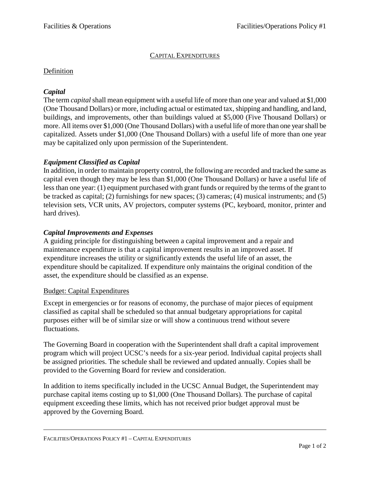# CAPITAL EXPENDITURES

#### Definition

# *Capital*

The term *capital* shall mean equipment with a useful life of more than one year and valued at \$1,000 (One Thousand Dollars) or more, including actual or estimated tax, shipping and handling, and land, buildings, and improvements, other than buildings valued at \$5,000 (Five Thousand Dollars) or more. All items over \$1,000 (One Thousand Dollars) with a useful life of more than one year shall be capitalized. Assets under \$1,000 (One Thousand Dollars) with a useful life of more than one year may be capitalized only upon permission of the Superintendent.

## *Equipment Classified as Capital*

In addition, in order to maintain property control, the following are recorded and tracked the same as capital even though they may be less than \$1,000 (One Thousand Dollars) or have a useful life of less than one year: (1) equipment purchased with grant funds or required by the terms of the grant to be tracked as capital; (2) furnishings for new spaces; (3) cameras; (4) musical instruments; and (5) television sets, VCR units, AV projectors, computer systems (PC, keyboard, monitor, printer and hard drives).

## *Capital Improvements and Expenses*

A guiding principle for distinguishing between a capital improvement and a repair and maintenance expenditure is that a capital improvement results in an improved asset. If expenditure increases the utility or significantly extends the useful life of an asset, the expenditure should be capitalized. If expenditure only maintains the original condition of the asset, the expenditure should be classified as an expense.

#### Budget: Capital Expenditures

Except in emergencies or for reasons of economy, the purchase of major pieces of equipment classified as capital shall be scheduled so that annual budgetary appropriations for capital purposes either will be of similar size or will show a continuous trend without severe fluctuations.

The Governing Board in cooperation with the Superintendent shall draft a capital improvement program which will project UCSC's needs for a six-year period. Individual capital projects shall be assigned priorities. The schedule shall be reviewed and updated annually. Copies shall be provided to the Governing Board for review and consideration.

In addition to items specifically included in the UCSC Annual Budget, the Superintendent may purchase capital items costing up to \$1,000 (One Thousand Dollars). The purchase of capital equipment exceeding these limits, which has not received prior budget approval must be approved by the Governing Board.